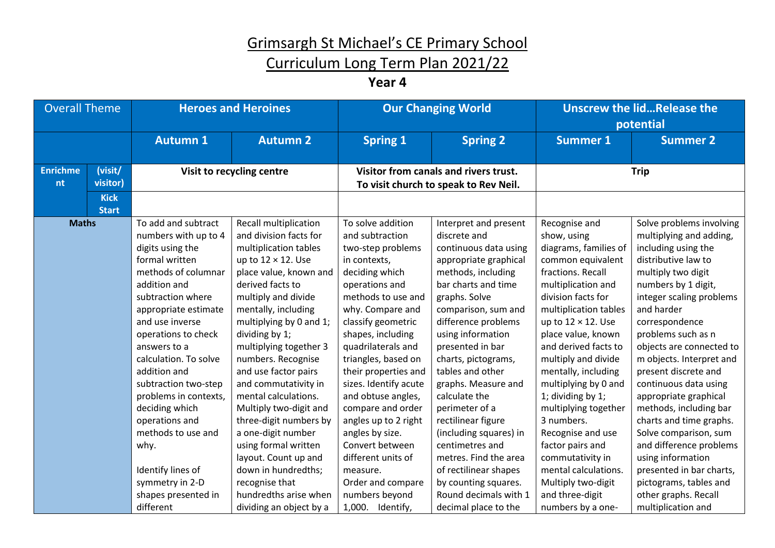## Curriculum Long Term Plan 2021/22

**Year 4**

| <b>Overall Theme</b>  |                             | <b>Heroes and Heroines</b>                                                                                                                                                                                                                                                                                                                                                                                                                                 |                                                                                                                                                                                                                                                                                                                                                                                                                                                                                                                                                                     | <b>Our Changing World</b>                                                                                                                                                                                                                                                                                                                                                                                                                                                          |                                                                                                                                                                                                                                                                                                                                                                                                                                                                                                                         | <b>Unscrew the lidRelease the</b><br>potential                                                                                                                                                                                                                                                                                                                                                                                                                                                                  |                                                                                                                                                                                                                                                                                                                                                                                                                                                                                                                                                                                |
|-----------------------|-----------------------------|------------------------------------------------------------------------------------------------------------------------------------------------------------------------------------------------------------------------------------------------------------------------------------------------------------------------------------------------------------------------------------------------------------------------------------------------------------|---------------------------------------------------------------------------------------------------------------------------------------------------------------------------------------------------------------------------------------------------------------------------------------------------------------------------------------------------------------------------------------------------------------------------------------------------------------------------------------------------------------------------------------------------------------------|------------------------------------------------------------------------------------------------------------------------------------------------------------------------------------------------------------------------------------------------------------------------------------------------------------------------------------------------------------------------------------------------------------------------------------------------------------------------------------|-------------------------------------------------------------------------------------------------------------------------------------------------------------------------------------------------------------------------------------------------------------------------------------------------------------------------------------------------------------------------------------------------------------------------------------------------------------------------------------------------------------------------|-----------------------------------------------------------------------------------------------------------------------------------------------------------------------------------------------------------------------------------------------------------------------------------------------------------------------------------------------------------------------------------------------------------------------------------------------------------------------------------------------------------------|--------------------------------------------------------------------------------------------------------------------------------------------------------------------------------------------------------------------------------------------------------------------------------------------------------------------------------------------------------------------------------------------------------------------------------------------------------------------------------------------------------------------------------------------------------------------------------|
|                       |                             | <b>Autumn 1</b>                                                                                                                                                                                                                                                                                                                                                                                                                                            | <b>Autumn 2</b>                                                                                                                                                                                                                                                                                                                                                                                                                                                                                                                                                     | <b>Spring 1</b>                                                                                                                                                                                                                                                                                                                                                                                                                                                                    | <b>Spring 2</b>                                                                                                                                                                                                                                                                                                                                                                                                                                                                                                         | <b>Summer 1</b>                                                                                                                                                                                                                                                                                                                                                                                                                                                                                                 | <b>Summer 2</b>                                                                                                                                                                                                                                                                                                                                                                                                                                                                                                                                                                |
| <b>Enrichme</b><br>nt | (visit/<br>visitor)         |                                                                                                                                                                                                                                                                                                                                                                                                                                                            | Visit to recycling centre                                                                                                                                                                                                                                                                                                                                                                                                                                                                                                                                           |                                                                                                                                                                                                                                                                                                                                                                                                                                                                                    | Visitor from canals and rivers trust.<br>To visit church to speak to Rev Neil.                                                                                                                                                                                                                                                                                                                                                                                                                                          |                                                                                                                                                                                                                                                                                                                                                                                                                                                                                                                 | <b>Trip</b>                                                                                                                                                                                                                                                                                                                                                                                                                                                                                                                                                                    |
|                       | <b>Kick</b><br><b>Start</b> |                                                                                                                                                                                                                                                                                                                                                                                                                                                            |                                                                                                                                                                                                                                                                                                                                                                                                                                                                                                                                                                     |                                                                                                                                                                                                                                                                                                                                                                                                                                                                                    |                                                                                                                                                                                                                                                                                                                                                                                                                                                                                                                         |                                                                                                                                                                                                                                                                                                                                                                                                                                                                                                                 |                                                                                                                                                                                                                                                                                                                                                                                                                                                                                                                                                                                |
| <b>Maths</b>          |                             | To add and subtract<br>numbers with up to 4<br>digits using the<br>formal written<br>methods of columnar<br>addition and<br>subtraction where<br>appropriate estimate<br>and use inverse<br>operations to check<br>answers to a<br>calculation. To solve<br>addition and<br>subtraction two-step<br>problems in contexts,<br>deciding which<br>operations and<br>methods to use and<br>why.<br>Identify lines of<br>symmetry in 2-D<br>shapes presented in | Recall multiplication<br>and division facts for<br>multiplication tables<br>up to $12 \times 12$ . Use<br>place value, known and<br>derived facts to<br>multiply and divide<br>mentally, including<br>multiplying by 0 and 1;<br>dividing by 1;<br>multiplying together 3<br>numbers. Recognise<br>and use factor pairs<br>and commutativity in<br>mental calculations.<br>Multiply two-digit and<br>three-digit numbers by<br>a one-digit number<br>using formal written<br>layout. Count up and<br>down in hundredths;<br>recognise that<br>hundredths arise when | To solve addition<br>and subtraction<br>two-step problems<br>in contexts,<br>deciding which<br>operations and<br>methods to use and<br>why. Compare and<br>classify geometric<br>shapes, including<br>quadrilaterals and<br>triangles, based on<br>their properties and<br>sizes. Identify acute<br>and obtuse angles,<br>compare and order<br>angles up to 2 right<br>angles by size.<br>Convert between<br>different units of<br>measure.<br>Order and compare<br>numbers beyond | Interpret and present<br>discrete and<br>continuous data using<br>appropriate graphical<br>methods, including<br>bar charts and time<br>graphs. Solve<br>comparison, sum and<br>difference problems<br>using information<br>presented in bar<br>charts, pictograms,<br>tables and other<br>graphs. Measure and<br>calculate the<br>perimeter of a<br>rectilinear figure<br>(including squares) in<br>centimetres and<br>metres. Find the area<br>of rectilinear shapes<br>by counting squares.<br>Round decimals with 1 | Recognise and<br>show, using<br>diagrams, families of<br>common equivalent<br>fractions. Recall<br>multiplication and<br>division facts for<br>multiplication tables<br>up to $12 \times 12$ . Use<br>place value, known<br>and derived facts to<br>multiply and divide<br>mentally, including<br>multiplying by 0 and<br>1; dividing by 1;<br>multiplying together<br>3 numbers.<br>Recognise and use<br>factor pairs and<br>commutativity in<br>mental calculations.<br>Multiply two-digit<br>and three-digit | Solve problems involving<br>multiplying and adding,<br>including using the<br>distributive law to<br>multiply two digit<br>numbers by 1 digit,<br>integer scaling problems<br>and harder<br>correspondence<br>problems such as n<br>objects are connected to<br>m objects. Interpret and<br>present discrete and<br>continuous data using<br>appropriate graphical<br>methods, including bar<br>charts and time graphs.<br>Solve comparison, sum<br>and difference problems<br>using information<br>presented in bar charts,<br>pictograms, tables and<br>other graphs. Recall |
|                       |                             | different                                                                                                                                                                                                                                                                                                                                                                                                                                                  | dividing an object by a                                                                                                                                                                                                                                                                                                                                                                                                                                                                                                                                             | 1,000. Identify,                                                                                                                                                                                                                                                                                                                                                                                                                                                                   | decimal place to the                                                                                                                                                                                                                                                                                                                                                                                                                                                                                                    | numbers by a one-                                                                                                                                                                                                                                                                                                                                                                                                                                                                                               | multiplication and                                                                                                                                                                                                                                                                                                                                                                                                                                                                                                                                                             |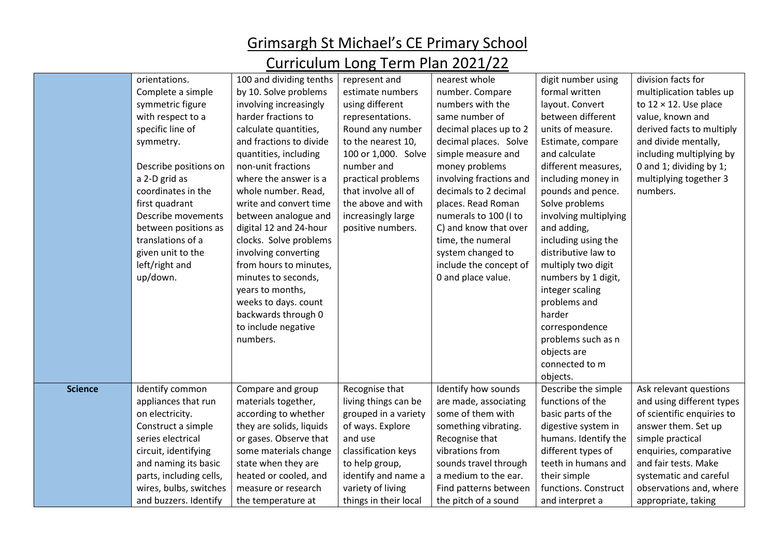#### Grimsargh St Michael's CE Primary School Curriculum Long Torm Plan 2021/22

| Curriculum Long Term Plan 2021/22 |                         |                          |                       |                         |                       |                               |  |
|-----------------------------------|-------------------------|--------------------------|-----------------------|-------------------------|-----------------------|-------------------------------|--|
|                                   | orientations.           | 100 and dividing tenths  | represent and         | nearest whole           | digit number using    | division facts for            |  |
|                                   | Complete a simple       | by 10. Solve problems    | estimate numbers      | number. Compare         | formal written        | multiplication tables up      |  |
|                                   | symmetric figure        | involving increasingly   | using different       | numbers with the        | layout. Convert       | to $12 \times 12$ . Use place |  |
|                                   | with respect to a       | harder fractions to      | representations.      | same number of          | between different     | value, known and              |  |
|                                   | specific line of        | calculate quantities,    | Round any number      | decimal places up to 2  | units of measure.     | derived facts to multiply     |  |
|                                   | symmetry.               | and fractions to divide  | to the nearest 10,    | decimal places. Solve   | Estimate, compare     | and divide mentally,          |  |
|                                   |                         | quantities, including    | 100 or 1,000. Solve   | simple measure and      | and calculate         | including multiplying by      |  |
|                                   | Describe positions on   | non-unit fractions       | number and            | money problems          | different measures,   | 0 and 1; dividing by 1;       |  |
|                                   | a 2-D grid as           | where the answer is a    | practical problems    | involving fractions and | including money in    | multiplying together 3        |  |
|                                   | coordinates in the      | whole number. Read,      | that involve all of   | decimals to 2 decimal   | pounds and pence.     | numbers.                      |  |
|                                   | first quadrant          | write and convert time   | the above and with    | places. Read Roman      | Solve problems        |                               |  |
|                                   | Describe movements      | between analogue and     | increasingly large    | numerals to 100 (I to   | involving multiplying |                               |  |
|                                   | between positions as    | digital 12 and 24-hour   | positive numbers.     | C) and know that over   | and adding,           |                               |  |
|                                   | translations of a       | clocks. Solve problems   |                       | time, the numeral       | including using the   |                               |  |
|                                   | given unit to the       | involving converting     |                       | system changed to       | distributive law to   |                               |  |
|                                   | left/right and          | from hours to minutes,   |                       | include the concept of  | multiply two digit    |                               |  |
|                                   | up/down.                | minutes to seconds,      |                       | 0 and place value.      | numbers by 1 digit,   |                               |  |
|                                   |                         | years to months,         |                       |                         | integer scaling       |                               |  |
|                                   |                         | weeks to days. count     |                       |                         | problems and          |                               |  |
|                                   |                         | backwards through 0      |                       |                         | harder                |                               |  |
|                                   |                         | to include negative      |                       |                         | correspondence        |                               |  |
|                                   |                         | numbers.                 |                       |                         | problems such as n    |                               |  |
|                                   |                         |                          |                       |                         | objects are           |                               |  |
|                                   |                         |                          |                       |                         | connected to m        |                               |  |
|                                   |                         |                          |                       |                         | objects.              |                               |  |
| <b>Science</b>                    | Identify common         | Compare and group        | Recognise that        | Identify how sounds     | Describe the simple   | Ask relevant questions        |  |
|                                   | appliances that run     | materials together,      | living things can be  | are made, associating   | functions of the      | and using different types     |  |
|                                   | on electricity.         | according to whether     | grouped in a variety  | some of them with       | basic parts of the    | of scientific enquiries to    |  |
|                                   | Construct a simple      | they are solids, liquids | of ways. Explore      | something vibrating.    | digestive system in   | answer them. Set up           |  |
|                                   | series electrical       | or gases. Observe that   | and use               | Recognise that          | humans. Identify the  | simple practical              |  |
|                                   | circuit, identifying    | some materials change    | classification keys   | vibrations from         | different types of    | enquiries, comparative        |  |
|                                   | and naming its basic    | state when they are      | to help group,        | sounds travel through   | teeth in humans and   | and fair tests. Make          |  |
|                                   | parts, including cells, | heated or cooled, and    | identify and name a   | a medium to the ear.    | their simple          | systematic and careful        |  |
|                                   | wires, bulbs, switches  | measure or research      | variety of living     | Find patterns between   | functions. Construct  | observations and, where       |  |
|                                   | and buzzers. Identify   | the temperature at       | things in their local | the pitch of a sound    | and interpret a       | appropriate, taking           |  |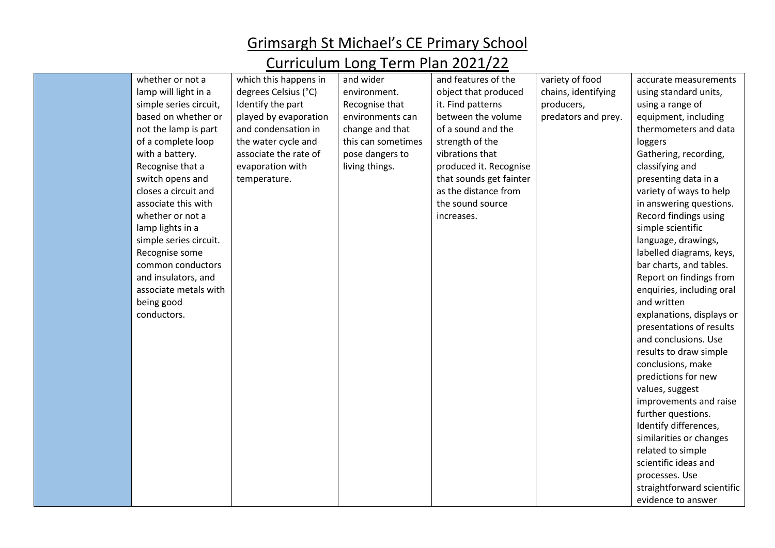| whether or not a       | which this happens in | and wider          | and features of the     | variety of food     | accurate measurements      |
|------------------------|-----------------------|--------------------|-------------------------|---------------------|----------------------------|
| lamp will light in a   | degrees Celsius (°C)  | environment.       | object that produced    | chains, identifying | using standard units,      |
| simple series circuit, | Identify the part     | Recognise that     | it. Find patterns       | producers,          | using a range of           |
| based on whether or    | played by evaporation | environments can   | between the volume      | predators and prey. | equipment, including       |
| not the lamp is part   | and condensation in   | change and that    | of a sound and the      |                     | thermometers and data      |
| of a complete loop     | the water cycle and   | this can sometimes | strength of the         |                     | loggers                    |
| with a battery.        | associate the rate of | pose dangers to    | vibrations that         |                     | Gathering, recording,      |
| Recognise that a       | evaporation with      | living things.     | produced it. Recognise  |                     | classifying and            |
| switch opens and       | temperature.          |                    | that sounds get fainter |                     | presenting data in a       |
| closes a circuit and   |                       |                    | as the distance from    |                     | variety of ways to help    |
| associate this with    |                       |                    | the sound source        |                     | in answering questions.    |
| whether or not a       |                       |                    | increases.              |                     | Record findings using      |
| lamp lights in a       |                       |                    |                         |                     | simple scientific          |
| simple series circuit. |                       |                    |                         |                     | language, drawings,        |
| Recognise some         |                       |                    |                         |                     | labelled diagrams, keys,   |
| common conductors      |                       |                    |                         |                     | bar charts, and tables.    |
| and insulators, and    |                       |                    |                         |                     | Report on findings from    |
| associate metals with  |                       |                    |                         |                     | enquiries, including oral  |
| being good             |                       |                    |                         |                     | and written                |
| conductors.            |                       |                    |                         |                     | explanations, displays or  |
|                        |                       |                    |                         |                     | presentations of results   |
|                        |                       |                    |                         |                     | and conclusions. Use       |
|                        |                       |                    |                         |                     | results to draw simple     |
|                        |                       |                    |                         |                     | conclusions, make          |
|                        |                       |                    |                         |                     | predictions for new        |
|                        |                       |                    |                         |                     | values, suggest            |
|                        |                       |                    |                         |                     | improvements and raise     |
|                        |                       |                    |                         |                     | further questions.         |
|                        |                       |                    |                         |                     | Identify differences,      |
|                        |                       |                    |                         |                     | similarities or changes    |
|                        |                       |                    |                         |                     | related to simple          |
|                        |                       |                    |                         |                     | scientific ideas and       |
|                        |                       |                    |                         |                     | processes. Use             |
|                        |                       |                    |                         |                     | straightforward scientific |
|                        |                       |                    |                         |                     | evidence to answer         |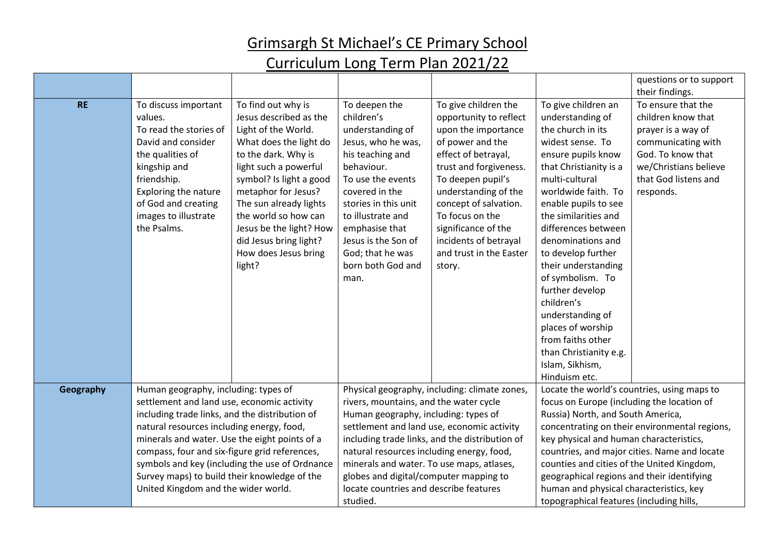|           |                                                                                                                                                                                                                          |                                                                                                                                                                                                                                                                                                                                          |                                                                                                                                                                                                                                                                                       |                                                                                                                                                                                                                                                                                                                          |                                                                                                                                                                                                                                                                                                                                                                                                                                                                                                     | questions or to support                                                                                                                                                                    |
|-----------|--------------------------------------------------------------------------------------------------------------------------------------------------------------------------------------------------------------------------|------------------------------------------------------------------------------------------------------------------------------------------------------------------------------------------------------------------------------------------------------------------------------------------------------------------------------------------|---------------------------------------------------------------------------------------------------------------------------------------------------------------------------------------------------------------------------------------------------------------------------------------|--------------------------------------------------------------------------------------------------------------------------------------------------------------------------------------------------------------------------------------------------------------------------------------------------------------------------|-----------------------------------------------------------------------------------------------------------------------------------------------------------------------------------------------------------------------------------------------------------------------------------------------------------------------------------------------------------------------------------------------------------------------------------------------------------------------------------------------------|--------------------------------------------------------------------------------------------------------------------------------------------------------------------------------------------|
| <b>RE</b> | To discuss important<br>values.<br>To read the stories of<br>David and consider<br>the qualities of<br>kingship and<br>friendship.<br>Exploring the nature<br>of God and creating<br>images to illustrate<br>the Psalms. | To find out why is<br>Jesus described as the<br>Light of the World.<br>What does the light do<br>to the dark. Why is<br>light such a powerful<br>symbol? Is light a good<br>metaphor for Jesus?<br>The sun already lights<br>the world so how can<br>Jesus be the light? How<br>did Jesus bring light?<br>How does Jesus bring<br>light? | To deepen the<br>children's<br>understanding of<br>Jesus, who he was,<br>his teaching and<br>behaviour.<br>To use the events<br>covered in the<br>stories in this unit<br>to illustrate and<br>emphasise that<br>Jesus is the Son of<br>God; that he was<br>born both God and<br>man. | To give children the<br>opportunity to reflect<br>upon the importance<br>of power and the<br>effect of betrayal,<br>trust and forgiveness.<br>To deepen pupil's<br>understanding of the<br>concept of salvation.<br>To focus on the<br>significance of the<br>incidents of betrayal<br>and trust in the Easter<br>story. | To give children an<br>understanding of<br>the church in its<br>widest sense. To<br>ensure pupils know<br>that Christianity is a<br>multi-cultural<br>worldwide faith. To<br>enable pupils to see<br>the similarities and<br>differences between<br>denominations and<br>to develop further<br>their understanding<br>of symbolism. To<br>further develop<br>children's<br>understanding of<br>places of worship<br>from faiths other<br>than Christianity e.g.<br>Islam, Sikhism,<br>Hinduism etc. | their findings.<br>To ensure that the<br>children know that<br>prayer is a way of<br>communicating with<br>God. To know that<br>we/Christians believe<br>that God listens and<br>responds. |
| Geography | Human geography, including: types of<br>settlement and land use, economic activity<br>including trade links, and the distribution of<br>natural resources including energy, food,                                        |                                                                                                                                                                                                                                                                                                                                          | Physical geography, including: climate zones,<br>rivers, mountains, and the water cycle<br>Human geography, including: types of<br>settlement and land use, economic activity                                                                                                         |                                                                                                                                                                                                                                                                                                                          | Locate the world's countries, using maps to<br>focus on Europe (including the location of<br>Russia) North, and South America,<br>concentrating on their environmental regions,                                                                                                                                                                                                                                                                                                                     |                                                                                                                                                                                            |
|           | minerals and water. Use the eight points of a<br>compass, four and six-figure grid references,<br>symbols and key (including the use of Ordnance                                                                         |                                                                                                                                                                                                                                                                                                                                          | including trade links, and the distribution of<br>natural resources including energy, food,<br>minerals and water. To use maps, atlases,                                                                                                                                              |                                                                                                                                                                                                                                                                                                                          | key physical and human characteristics,<br>countries, and major cities. Name and locate<br>counties and cities of the United Kingdom,                                                                                                                                                                                                                                                                                                                                                               |                                                                                                                                                                                            |
|           | Survey maps) to build their knowledge of the<br>United Kingdom and the wider world.                                                                                                                                      |                                                                                                                                                                                                                                                                                                                                          | globes and digital/computer mapping to<br>locate countries and describe features<br>studied.                                                                                                                                                                                          |                                                                                                                                                                                                                                                                                                                          | geographical regions and their identifying<br>human and physical characteristics, key<br>topographical features (including hills,                                                                                                                                                                                                                                                                                                                                                                   |                                                                                                                                                                                            |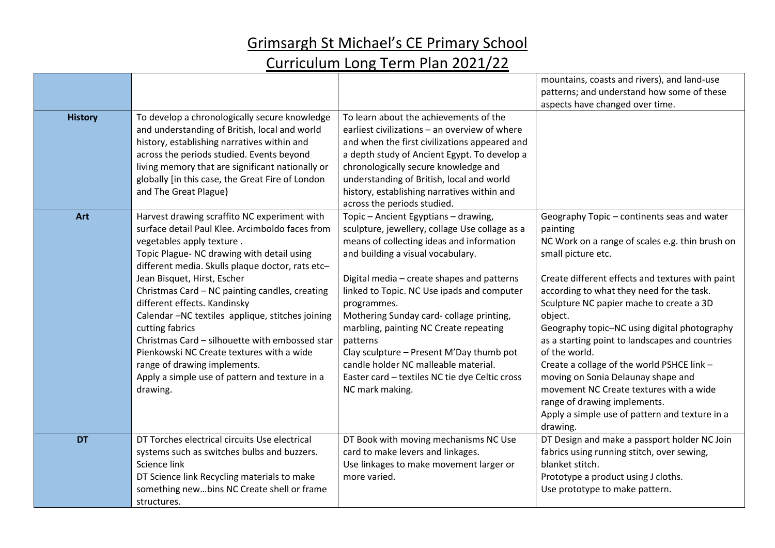|                |                                                                                                                                                                                                                                                                                                                                                                                                                                                                                                                                                                                                                     |                                                                                                                                                                                                                                                                                                                                                                                                                                                                                                                                               | mountains, coasts and rivers), and land-use<br>patterns; and understand how some of these                                                                                                                                                                                                                                                                                                                                                                                                                                                                                                                                                 |
|----------------|---------------------------------------------------------------------------------------------------------------------------------------------------------------------------------------------------------------------------------------------------------------------------------------------------------------------------------------------------------------------------------------------------------------------------------------------------------------------------------------------------------------------------------------------------------------------------------------------------------------------|-----------------------------------------------------------------------------------------------------------------------------------------------------------------------------------------------------------------------------------------------------------------------------------------------------------------------------------------------------------------------------------------------------------------------------------------------------------------------------------------------------------------------------------------------|-------------------------------------------------------------------------------------------------------------------------------------------------------------------------------------------------------------------------------------------------------------------------------------------------------------------------------------------------------------------------------------------------------------------------------------------------------------------------------------------------------------------------------------------------------------------------------------------------------------------------------------------|
| <b>History</b> | To develop a chronologically secure knowledge<br>and understanding of British, local and world<br>history, establishing narratives within and<br>across the periods studied. Events beyond<br>living memory that are significant nationally or<br>globally [in this case, the Great Fire of London<br>and The Great Plague}                                                                                                                                                                                                                                                                                         | To learn about the achievements of the<br>earliest civilizations – an overview of where<br>and when the first civilizations appeared and<br>a depth study of Ancient Egypt. To develop a<br>chronologically secure knowledge and<br>understanding of British, local and world<br>history, establishing narratives within and<br>across the periods studied.                                                                                                                                                                                   | aspects have changed over time.                                                                                                                                                                                                                                                                                                                                                                                                                                                                                                                                                                                                           |
| Art            | Harvest drawing scraffito NC experiment with<br>surface detail Paul Klee. Arcimboldo faces from<br>vegetables apply texture.<br>Topic Plague- NC drawing with detail using<br>different media. Skulls plaque doctor, rats etc-<br>Jean Bisquet, Hirst, Escher<br>Christmas Card - NC painting candles, creating<br>different effects. Kandinsky<br>Calendar -NC textiles applique, stitches joining<br>cutting fabrics<br>Christmas Card - silhouette with embossed star<br>Pienkowski NC Create textures with a wide<br>range of drawing implements.<br>Apply a simple use of pattern and texture in a<br>drawing. | Topic - Ancient Egyptians - drawing,<br>sculpture, jewellery, collage Use collage as a<br>means of collecting ideas and information<br>and building a visual vocabulary.<br>Digital media - create shapes and patterns<br>linked to Topic. NC Use ipads and computer<br>programmes.<br>Mothering Sunday card-collage printing,<br>marbling, painting NC Create repeating<br>patterns<br>Clay sculpture - Present M'Day thumb pot<br>candle holder NC malleable material.<br>Easter card - textiles NC tie dye Celtic cross<br>NC mark making. | Geography Topic - continents seas and water<br>painting<br>NC Work on a range of scales e.g. thin brush on<br>small picture etc.<br>Create different effects and textures with paint<br>according to what they need for the task.<br>Sculpture NC papier mache to create a 3D<br>object.<br>Geography topic-NC using digital photography<br>as a starting point to landscapes and countries<br>of the world.<br>Create a collage of the world PSHCE link -<br>moving on Sonia Delaunay shape and<br>movement NC Create textures with a wide<br>range of drawing implements.<br>Apply a simple use of pattern and texture in a<br>drawing. |
| <b>DT</b>      | DT Torches electrical circuits Use electrical<br>systems such as switches bulbs and buzzers.<br>Science link<br>DT Science link Recycling materials to make<br>something newbins NC Create shell or frame<br>structures.                                                                                                                                                                                                                                                                                                                                                                                            | DT Book with moving mechanisms NC Use<br>card to make levers and linkages.<br>Use linkages to make movement larger or<br>more varied.                                                                                                                                                                                                                                                                                                                                                                                                         | DT Design and make a passport holder NC Join<br>fabrics using running stitch, over sewing,<br>blanket stitch.<br>Prototype a product using J cloths.<br>Use prototype to make pattern.                                                                                                                                                                                                                                                                                                                                                                                                                                                    |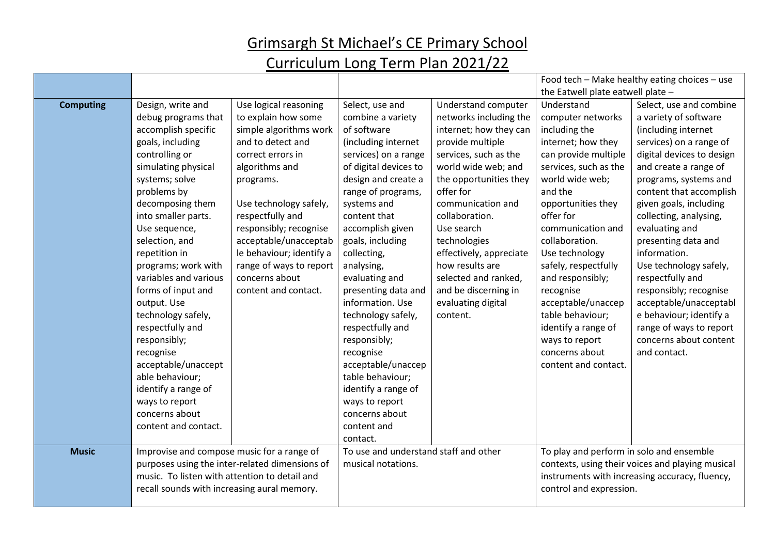|                  |                                                |                          |                                       |                            | Food tech - Make healthy eating choices - use    |                                                |
|------------------|------------------------------------------------|--------------------------|---------------------------------------|----------------------------|--------------------------------------------------|------------------------------------------------|
|                  |                                                |                          |                                       |                            | the Eatwell plate eatwell plate -                |                                                |
| <b>Computing</b> | Design, write and                              | Use logical reasoning    | Select, use and                       | <b>Understand computer</b> | Understand                                       | Select, use and combine                        |
|                  | debug programs that                            | to explain how some      | combine a variety                     | networks including the     | computer networks                                | a variety of software                          |
|                  | accomplish specific                            | simple algorithms work   | of software                           | internet; how they can     | including the                                    | (including internet                            |
|                  | goals, including                               | and to detect and        | (including internet                   | provide multiple           | internet; how they                               | services) on a range of                        |
|                  | controlling or                                 | correct errors in        | services) on a range                  | services, such as the      | can provide multiple                             | digital devices to design                      |
|                  | simulating physical                            | algorithms and           | of digital devices to                 | world wide web; and        | services, such as the                            | and create a range of                          |
|                  | systems; solve                                 | programs.                | design and create a                   | the opportunities they     | world wide web;                                  | programs, systems and                          |
|                  | problems by                                    |                          | range of programs,                    | offer for                  | and the                                          | content that accomplish                        |
|                  | decomposing them                               | Use technology safely,   | systems and                           | communication and          | opportunities they                               | given goals, including                         |
|                  | into smaller parts.                            | respectfully and         | content that                          | collaboration.             | offer for                                        | collecting, analysing,                         |
|                  | Use sequence,                                  | responsibly; recognise   | accomplish given                      | Use search                 | communication and                                | evaluating and                                 |
|                  | selection, and                                 | acceptable/unacceptab    | goals, including                      | technologies               | collaboration.                                   | presenting data and                            |
|                  | repetition in                                  | le behaviour; identify a | collecting,                           | effectively, appreciate    | Use technology                                   | information.                                   |
|                  | programs; work with                            | range of ways to report  | analysing,                            | how results are            | safely, respectfully                             | Use technology safely,                         |
|                  | variables and various                          | concerns about           | evaluating and                        | selected and ranked,       | and responsibly;                                 | respectfully and                               |
|                  | forms of input and                             | content and contact.     | presenting data and                   | and be discerning in       | recognise                                        | responsibly; recognise                         |
|                  | output. Use                                    |                          | information. Use                      | evaluating digital         | acceptable/unaccep                               | acceptable/unacceptabl                         |
|                  | technology safely,                             |                          | technology safely,                    | content.                   | table behaviour;                                 | e behaviour; identify a                        |
|                  | respectfully and                               |                          | respectfully and                      |                            | identify a range of                              | range of ways to report                        |
|                  | responsibly;                                   |                          | responsibly;                          |                            | ways to report                                   | concerns about content                         |
|                  | recognise                                      |                          | recognise                             |                            | concerns about                                   | and contact.                                   |
|                  | acceptable/unaccept                            |                          | acceptable/unaccep                    |                            | content and contact.                             |                                                |
|                  | able behaviour;                                |                          | table behaviour;                      |                            |                                                  |                                                |
|                  | identify a range of                            |                          | identify a range of                   |                            |                                                  |                                                |
|                  | ways to report                                 |                          | ways to report                        |                            |                                                  |                                                |
|                  | concerns about                                 |                          | concerns about                        |                            |                                                  |                                                |
|                  | content and contact.                           |                          | content and                           |                            |                                                  |                                                |
|                  |                                                |                          | contact.                              |                            |                                                  |                                                |
| <b>Music</b>     | Improvise and compose music for a range of     |                          | To use and understand staff and other |                            | To play and perform in solo and ensemble         |                                                |
|                  | purposes using the inter-related dimensions of |                          | musical notations.                    |                            | contexts, using their voices and playing musical |                                                |
|                  | music. To listen with attention to detail and  |                          |                                       |                            |                                                  | instruments with increasing accuracy, fluency, |
|                  | recall sounds with increasing aural memory.    |                          |                                       |                            | control and expression.                          |                                                |
|                  |                                                |                          |                                       |                            |                                                  |                                                |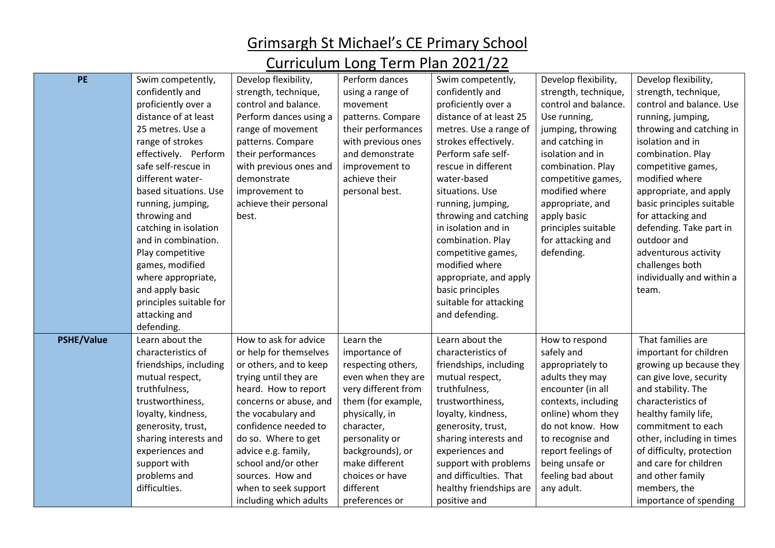| <b>PE</b>         | Swim competently,       | Develop flexibility,   | Perform dances      | Swim competently,       | Develop flexibility, | Develop flexibility,      |
|-------------------|-------------------------|------------------------|---------------------|-------------------------|----------------------|---------------------------|
|                   | confidently and         | strength, technique,   | using a range of    | confidently and         | strength, technique, | strength, technique,      |
|                   | proficiently over a     | control and balance.   | movement            | proficiently over a     | control and balance. | control and balance. Use  |
|                   | distance of at least    |                        |                     | distance of at least 25 |                      |                           |
|                   |                         | Perform dances using a | patterns. Compare   |                         | Use running,         | running, jumping,         |
|                   | 25 metres. Use a        | range of movement      | their performances  | metres. Use a range of  | jumping, throwing    | throwing and catching in  |
|                   | range of strokes        | patterns. Compare      | with previous ones  | strokes effectively.    | and catching in      | isolation and in          |
|                   | effectively. Perform    | their performances     | and demonstrate     | Perform safe self-      | isolation and in     | combination. Play         |
|                   | safe self-rescue in     | with previous ones and | improvement to      | rescue in different     | combination. Play    | competitive games,        |
|                   | different water-        | demonstrate            | achieve their       | water-based             | competitive games,   | modified where            |
|                   | based situations. Use   | improvement to         | personal best.      | situations. Use         | modified where       | appropriate, and apply    |
|                   | running, jumping,       | achieve their personal |                     | running, jumping,       | appropriate, and     | basic principles suitable |
|                   | throwing and            | best.                  |                     | throwing and catching   | apply basic          | for attacking and         |
|                   | catching in isolation   |                        |                     | in isolation and in     | principles suitable  | defending. Take part in   |
|                   | and in combination.     |                        |                     | combination. Play       | for attacking and    | outdoor and               |
|                   | Play competitive        |                        |                     | competitive games,      | defending.           | adventurous activity      |
|                   | games, modified         |                        |                     | modified where          |                      | challenges both           |
|                   | where appropriate,      |                        |                     | appropriate, and apply  |                      | individually and within a |
|                   | and apply basic         |                        |                     | basic principles        |                      | team.                     |
|                   | principles suitable for |                        |                     | suitable for attacking  |                      |                           |
|                   | attacking and           |                        |                     | and defending.          |                      |                           |
|                   | defending.              |                        |                     |                         |                      |                           |
| <b>PSHE/Value</b> | Learn about the         | How to ask for advice  | Learn the           | Learn about the         | How to respond       | That families are         |
|                   | characteristics of      | or help for themselves | importance of       | characteristics of      | safely and           | important for children    |
|                   | friendships, including  | or others, and to keep | respecting others,  | friendships, including  | appropriately to     | growing up because they   |
|                   | mutual respect,         | trying until they are  | even when they are  | mutual respect,         | adults they may      | can give love, security   |
|                   | truthfulness,           | heard. How to report   | very different from | truthfulness,           | encounter (in all    | and stability. The        |
|                   | trustworthiness,        | concerns or abuse, and | them (for example,  | trustworthiness,        | contexts, including  | characteristics of        |
|                   | loyalty, kindness,      | the vocabulary and     | physically, in      | loyalty, kindness,      | online) whom they    | healthy family life,      |
|                   | generosity, trust,      | confidence needed to   | character,          | generosity, trust,      | do not know. How     | commitment to each        |
|                   | sharing interests and   | do so. Where to get    | personality or      | sharing interests and   | to recognise and     | other, including in times |
|                   | experiences and         | advice e.g. family,    | backgrounds), or    | experiences and         | report feelings of   | of difficulty, protection |
|                   | support with            | school and/or other    | make different      | support with problems   | being unsafe or      | and care for children     |
|                   | problems and            | sources. How and       | choices or have     | and difficulties. That  | feeling bad about    | and other family          |
|                   | difficulties.           | when to seek support   | different           | healthy friendships are | any adult.           | members, the              |
|                   |                         | including which adults | preferences or      | positive and            |                      | importance of spending    |